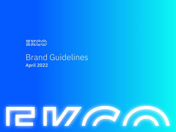

## Brand Guidelines April 2022

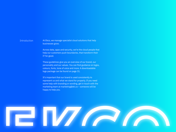#### **Introduction**

**3** At Ekco, we manage specialist cloud solutions that help businesses grow.

Across data, apps and security, we're the cloud people that help our customers push boundaries, that transform their IT for good.

These guidelines give you an overview of our brand, our personality and our values. You can fnd guidance on logos, colours, fonts, tone of voice and more. A downloadable logo package can be found on page 31.

It's important that our brand is used consistently to represent us and what we stand for properly. If you need some help with branding or wording, get in touch with the marketing team at marketing@ek.co – someone will be happy to help you.

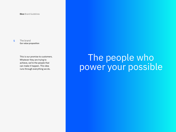The brand Our value proposition

> This is our promise to customers. Whatever they are trying to achieve, we're the people that can make it happen. This idea runs through everything we do.

# The brand<br>
Our value proposition<br>
This is our promise to customers.<br>
Whatever they are trying to<br>
achieve, we're the people that<br>
can make it happen. This idea<br>
runs through everything we do.<br>
<br> **DOWEF YOUF POSS** The people who power your possible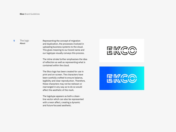#### 9 The logo About

Representing the concept of migration and duplication, the processes involved in uploading business systems to the cloud. This gives meaning to our brand name and our logotype visually conveys this process.

The inline stroke further emphasises the idea of reflection as well as representing what is contained within the cloud.

The Ekco logo has been created for use in print and on-screen. The characters have been carefully crafted to ensure balance, legibility and clear reproduction. Therefore, these characters may not be redrawn or rearranged in any way as to do so would affect the aesthetic of the mark.

The logotype appears as both a cleanline vector which can also be represented with a neon affect, creating a dynamic and future focused aesthetic.

### **EMAA** UUWW

EMGO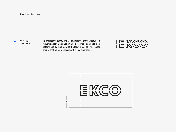#### 10 The logo Clearspace

To protect the clarity and visual integrity of the logotype, it requires adequate space on all sides. This clearspace (x) is determined by the height of the logotype as shown. Please ensure that no elements sit within this clearspace.



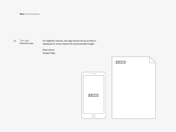#### 11 The logo Minimum sizes

For legibility reasons, the logo should not be printed or displayed on screen below the recommended height.

Print 10mm Screen 30px

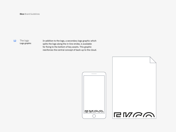#### 12 The logo Logo graphic

In addition to the logo, a secondary logo graphic which splits the logo along the in-line stroke, is available for fixing to the bottom of key assets. This graphic reenforces the central concept of back-up to the cloud.



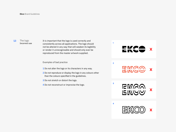#### 13 The logo Incorrect use

It is important that the logo is used correctly and consistently across all applications. The logo should not be altered in any way that will weaken its legibility or render it unrecognisable and should only ever be reproduced from the master artwork supplied.

#### Examples of bad practice

- 1 Do not alter the logo or its characters in any way.
- 2 Do not reproduce or display the logo in any colours other than the colours specifed in the guidelines.
- 3 Do not stretch or distort the logo.
- 4 Do not reconstruct or improvise the logo.

E*ur*a<br>Ent<del>o</del> **X**

1

2

3

4

**GWGQ X**

**GMAW**<br>RMAW **X**

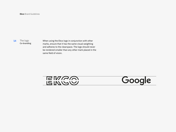#### 14 The logo Co-branding

When using the Ekco logo in conjunction with other marks, ensure that it has the same visual weighting and adheres to the clearspace. The logo should never be rendered smaller than any other mark placed in the same field of vision.

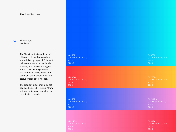#### 15 The colours Gradients

The Ekco identity is made up of different colours, both gradients and solids to give punch & impact to its communications while also allowing it to behave in a digital world. While all the gradients are interchangeable, blue is the dominant brand colour when one colour or gradient is needed.

The gradient slider should be set at a position of 50% running from left to right in most cases but can be adjusted if needed.

| #035AFF                     | #0BF9F2                     |
|-----------------------------|-----------------------------|
| $C = 90$ M = 65 Y = 0 K = 0 | $C = 60$ M = 0 Y = 20 K = 0 |
| 2738U                       | 304U                        |
| 2728C                       | 304C                        |
| #FC3246                     | #FFC82C                     |
| $C=0$ M=90 Y=60 K=0         | $C=0$ M=25 Y=85 K=0         |
| 032U                        | <b>121U</b>                 |
| 032C                        | 123C                        |
| #035AFF                     | #FF94DB                     |
| $C = 90$ M = 65 Y = 0 K = 0 | $C=0$ M = 55 Y = 0 K = 0    |
| 2738U                       | 224U                        |
| 2728C                       | 223C                        |
| #FF94DB                     | #FC3246                     |
| $C = 0$ M = 55 Y = 0 K = 0  | $C=0$ M=90 Y=60 K=0         |
| 224U                        | 032U                        |
| 223C                        | 032C                        |